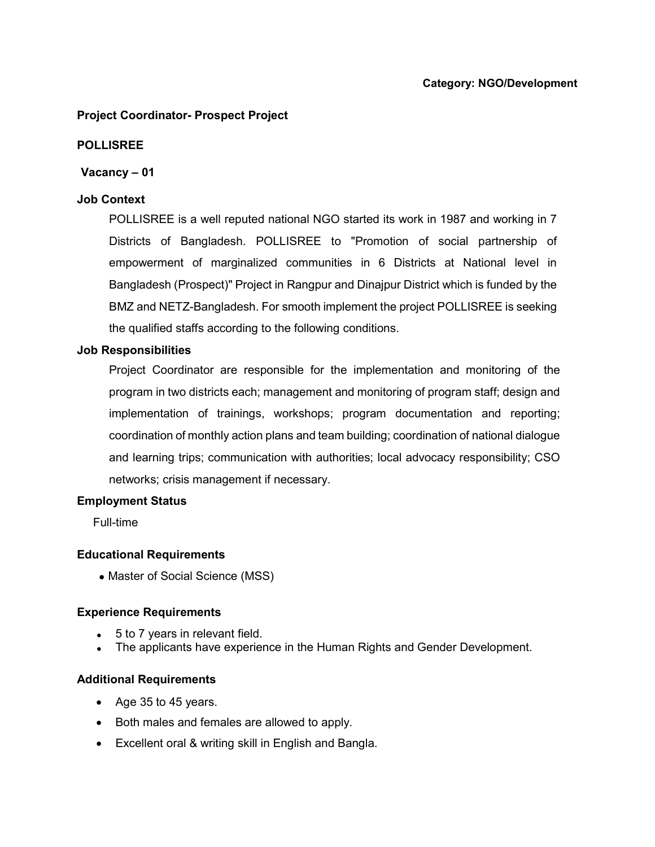# Project Coordinator- Prospect Project

# POLLISREE

## Vacancy – 01

## Job Context

POLLISREE is a well reputed national NGO started its work in 1987 and working in 7 Districts of Bangladesh. POLLISREE to "Promotion of social partnership of empowerment of marginalized communities in 6 Districts at National level in Bangladesh (Prospect)" Project in Rangpur and Dinajpur District which is funded by the BMZ and NETZ-Bangladesh. For smooth implement the project POLLISREE is seeking the qualified staffs according to the following conditions.

## Job Responsibilities

Project Coordinator are responsible for the implementation and monitoring of the program in two districts each; management and monitoring of program staff; design and implementation of trainings, workshops; program documentation and reporting; coordination of monthly action plans and team building; coordination of national dialogue and learning trips; communication with authorities; local advocacy responsibility; CSO networks; crisis management if necessary.

#### Employment Status

Full-time

#### Educational Requirements

• Master of Social Science (MSS)

#### Experience Requirements

- 5 to 7 years in relevant field.
- The applicants have experience in the Human Rights and Gender Development.

# Additional Requirements

- Age 35 to 45 years.
- Both males and females are allowed to apply.
- Excellent oral & writing skill in English and Bangla.